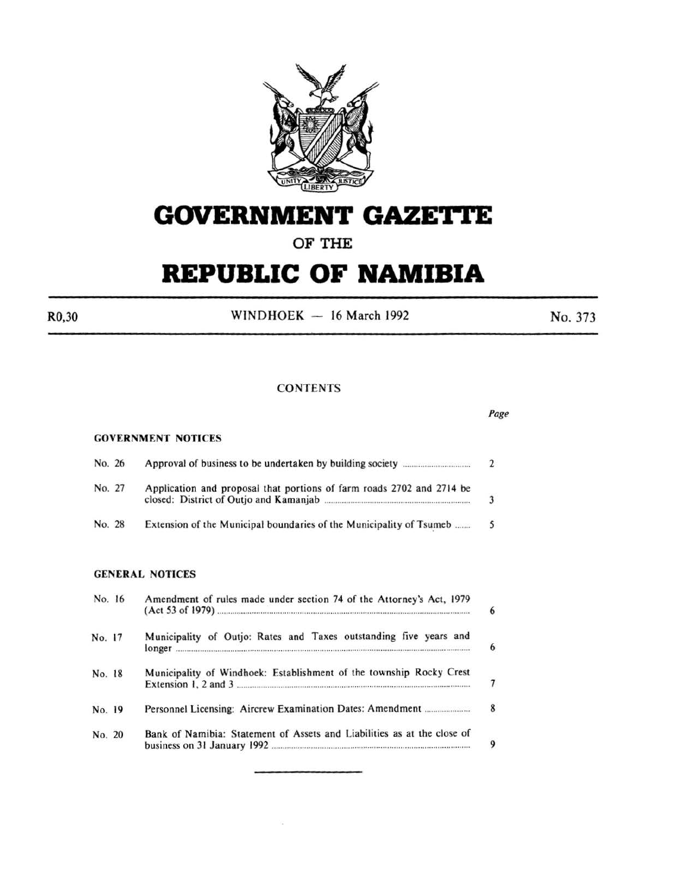

# **GOVERNMENT GAZETTE**

# OF THE

# **REPUBLIC OF NAMIBIA**

 $R0,30$  WINDHOEK - 16 March 1992 No. 373

Page

#### **CONTENTS**

#### GOVERNMENT NOTICES

| No. 26 |                                                                       | $\overline{2}$ |
|--------|-----------------------------------------------------------------------|----------------|
| No. 27 | Application and proposal that portions of farm roads 2702 and 2714 be |                |
| No. 28 | Extension of the Municipal boundaries of the Municipality of Tsumeb   |                |

#### GENERAL NOTICES

| No. 16 | Amendment of rules made under section 74 of the Attorney's Act, 1979<br>(Act 53 of 1979) <u>manual contractor</u> |                |  |  |
|--------|-------------------------------------------------------------------------------------------------------------------|----------------|--|--|
| No. 17 | Municipality of Outjo: Rates and Taxes outstanding five years and                                                 | 6              |  |  |
| No. 18 | Municipality of Windhoek: Establishment of the township Rocky Crest<br>Extension 1, 2 and 3 $\ldots$              | $\overline{7}$ |  |  |
| No. 19 | 8<br>Personnel Licensing: Aircrew Examination Dates: Amendment                                                    |                |  |  |
| No. 20 | Bank of Namibia: Statement of Assets and Liabilities as at the close of                                           | $\overline{9}$ |  |  |

Y)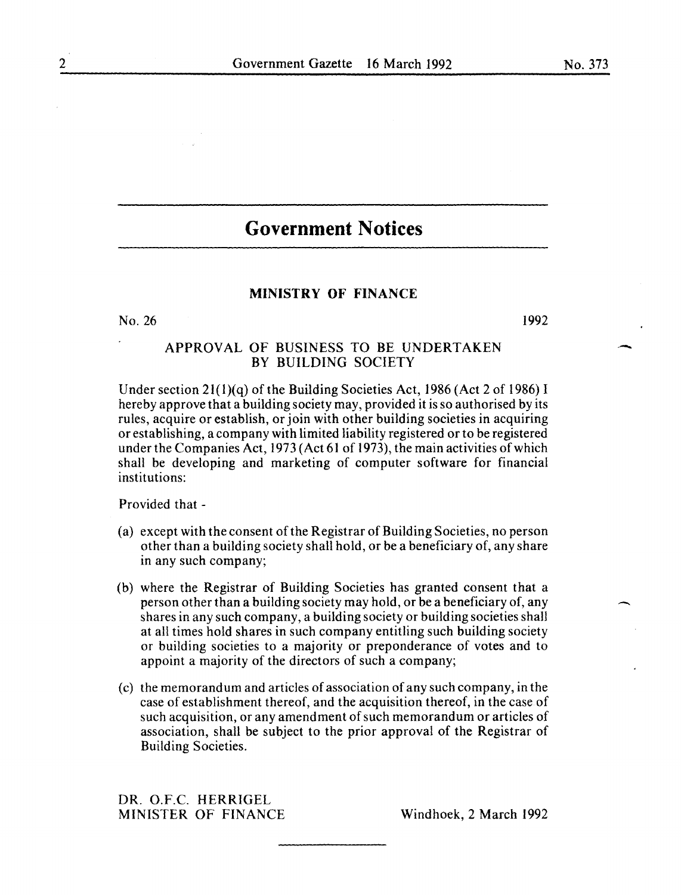-

# **Government Notices**

#### **MINISTRY OF FINANCE**

# No. 26 1992

# APPROVAL OF BUSINESS TO BE UNDERTAKEN BY BUILDING SOCIETY

Under section  $21(1)(q)$  of the Building Societies Act, 1986 (Act 2 of 1986) I hereby approve that a building society may, provided it is so authorised by its rules, acquire or establish, or join with other building societies in acquiring or establishing, a company with limited liability registered or to be registered under the Companies Act, 1973 (Act 61 of 1973), the main activities of which shall be developing and marketing of computer software for financial institutions:

Provided that -

- (a) except with the consent of the Registrar of Building Societies, no person other than a building society shall hold, or be a beneficiary of, any share in any such company;
- (b) where the Registrar of Building Societies has granted consent that a person other than a building society may hold, or be a beneficiary of, any shares in any such company, a building society or building societies shall at all times hold shares in such company entitling such building society or building societies to a majority or preponderance of votes and to appoint a majority of the directors of such a company;
- (c) the memorandum and articles of association of any such company, in the case of establishment thereof, and the acquisition thereof, in the case of such acquisition, or any amendment of such memorandum or articles of association, shall be subject to the prior approval of the Registrar of Building Societies.

DR. O.F.C. HERRIGEL MINISTER OF FINANCE Windhoek, 2 March 1992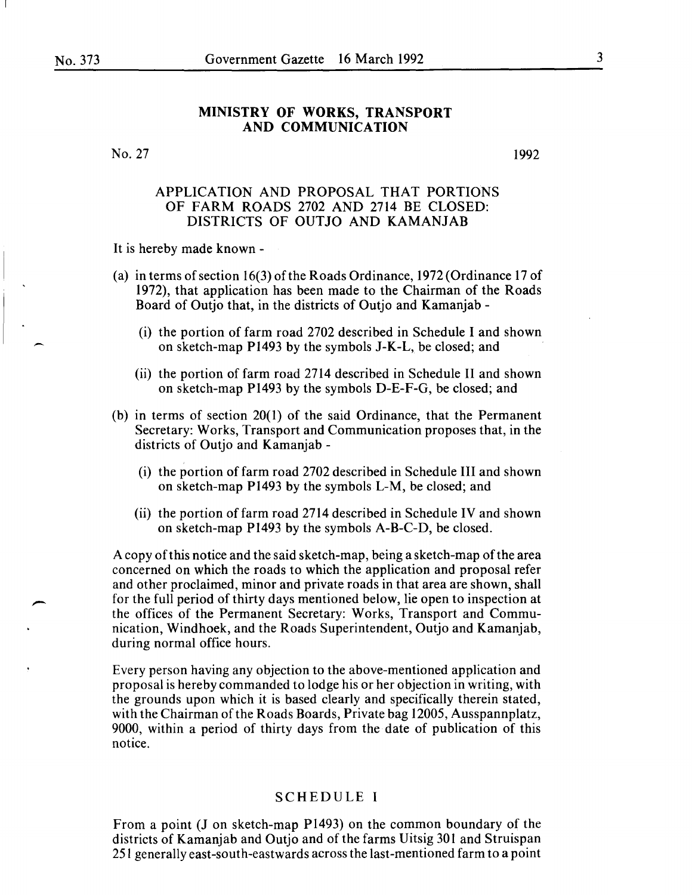### MINISTRY OF WORKS, TRANSPORT AND COMMUNICATION

No. 27

1992

# APPLICATION AND PROPOSAL THAT PORTIONS OF FARM ROADS 2702 AND 2714 BE CLOSED: DISTRICTS OF OUTJO AND KAMANJAB

It is hereby made known -

- (a) in terms of section 16(3) of the Roads Ordinance, 1972 (Ordinance 17 of 1972), that application has been made to the Chairman of the Roads Board of Outjo that, in the districts of Outjo and Kamanjab -
	- (i) the portion of farm road 2702 described in Schedule I and shown on sketch-map P1493 by the symbols J-K-L, be closed; and
	- (ii) the portion of farm road 2714 described in Schedule II and shown on sketch-map P1493 by the symbols D-E-F-G, be closed; and
- (b) in terms of section 20(1) of the said Ordinance, that the Permanent Secretary: Works, Transport and Communication proposes that, in the districts of Outjo and Kamanjab -
	- (i) the portion of farm road 2702 described in Schedule III and shown on sketch-map P1493 by the symbols L-M, be closed; and
	- (ii) the portion of farm road 2714 described in Schedule IV and shown on sketch-map P1493 by the symbols A-B-C-D, be closed.

A copy of this notice and the said sketch-map, being a sketch-map of the area concerned on which the roads to which the application and proposal refer and other proclaimed, minor and private roads in that area are shown, shall for the full period of thirty days mentioned below, lie open to inspection at the offices of the Permanent Secretary: Works, Transport and Communication, Windhoek, and the Roads Superintendent, Outjo and Kamanjab, during normal office hours.

Every person having any objection to the above-mentioned application and proposal is hereby commanded to lodge his or her objection in writing, with the grounds upon which it is based clearly and specifically therein stated, with the Chairman of the Roads Boards, Private bag 12005, Ausspannplatz, 9000, within a period of thirty days from the date of publication of this notice.

# SCHEDULE I

From a point (J on sketch-map P1493) on the common boundary of the districts of Kamanjab and Outjo and of the farms Uitsig 301 and Struispan 251 generally east-south-eastwards across the last-mentioned farm to a point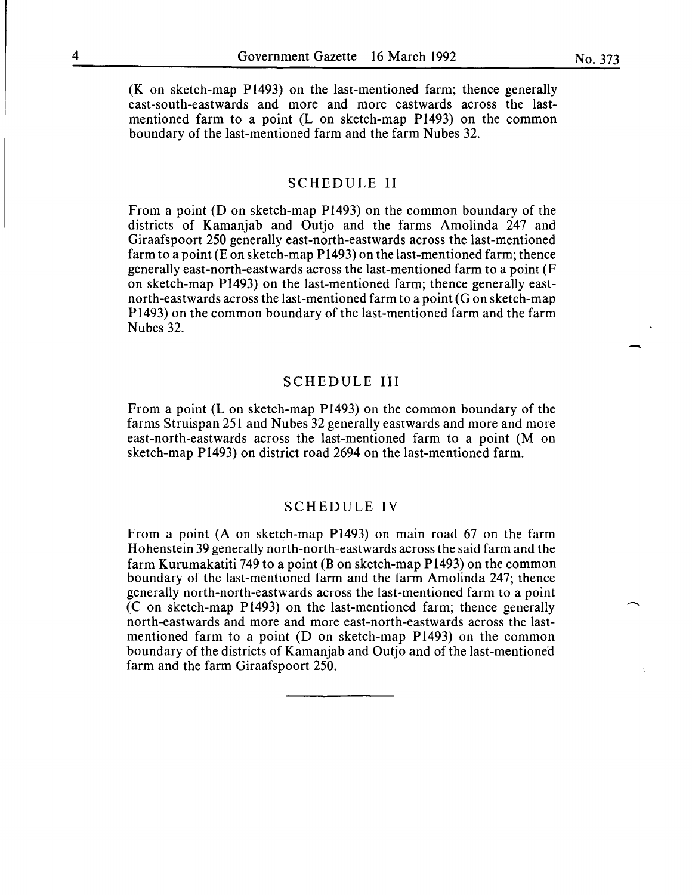(K on sketch-map P1493) on the last-mentioned farm; thence generally east-south-eastwards and more and more eastwards across the lastmentioned farm to a point (L on sketch-map P1493) on the common boundary of the last-mentioned farm and the farm Nubes 32.

#### SCHEDULE II

From a point (D on sketch-map P1493) on the common boundary of the districts of Kamanjab and Outjo and the farms Amolinda 247 and Giraafspoort 250 generally east-north-eastwards across the last-mentioned farm to a point ( $E$  on sketch-map P1493) on the last-mentioned farm; thence generally east-north-eastwards across the last-mentioned farm to a point (F on sketch-map Pl493) on the last-mentioned farm; thence generally eastnorth-eastwards across the last-mentioned farm to a point (G on sketch-map P1493) on the common boundary of the last-mentioned farm and the farm Nubes 32.

#### SCHEDULE III

From a point (L on sketch-map P1493) on the common boundary of the farms Struispan 251 and Nubes 32 generally eastwards and more and more east-north-eastwards across the last-mentioned farm to a point (M on sketch-map P1493) on district road 2694 on the last-mentioned farm.

#### SCHEDULE IV

From a point (A on sketch-map P1493) on main road 67 on the farm Hohenstein 39 generally north-north-eastwards across the said farm and the farm Kurumakatiti 749 to a point (B on sketch-map P1493) on the common boundary of the last-mentioned tarm and the farm Amolinda 247; thence generally north-north-eastwards across the last-mentioned farm to a point (C on sketch-map P1493) on the last-mentioned farm; thence generally north-eastwards and more and more east-north-eastwards across the lastmentioned farm to a point (D on sketch-map P1493) on the common boundary of the districts of Kamanjab and Outjo and of the last-mentione'd farm and the farm Giraafspoort 250.

-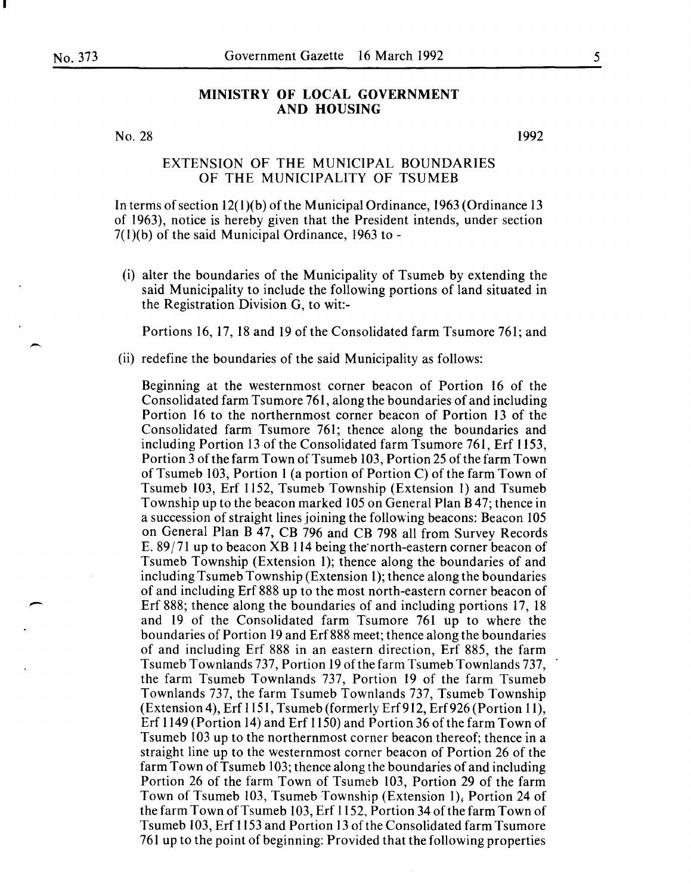-

### **MINISTRY OF LOCAL GOVERNMENT AND HOUSING**

No. 28

1992

# EXTENSION OF THE MUNICIPAL BOUNDARIES OF THE MUNICIPALITY OF TSUMEB

In terms of section 12(1)(b) of the Municipal Ordinance, 1963 (Ordinance 13 of 1963), notice is hereby given that the President intends, under section  $7(1)(b)$  of the said Municipal Ordinance, 1963 to -

(i) alter the boundaries of the Municipality of Tsumeb by extending the said Municipality to include the following portions of land situated in the Registration Division G, to wit:-

Portions 16, 17, 18 and 19 of the Consolidated farm Tsumore 761; and

(ii) redefine the boundaries of the said Municipality as follows:

Beginning at the westernmost corner beacon of Portion 16 of the Consolidated farm Tsumore 761, along the boundaries of and including Portion 16 to the northernmost corner beacon of Portion 13 of the Consolidated farm Tsumore 761; thence along the boundaries and including Portion 13 of the Consolidated farm Tsumore 761, Erf 1153, Portion 3 of the farm Town of Tsumeb 103, Portion 25 of the farm Town of Tsumeb 103, Portion 1 (a portion of Portion C) of the farm Town of Tsumeb 103, Erf 1152, Tsumeb Township (Extension I) and Tsumeb Township up to the beacon marked 105 on General Plan B 47; thence in a succession of straight lines joining the following beacons: Beacon 105 on General Plan B 47, CB 796 and CB 798 all from Survey Records E. 89/71 up to beacon XB 114 being the·north-eastern corner beacon of Tsumeb Township (Extension 1); thence along the boundaries of and including Tsumeb Township (Extension I); thence along the boundaries of and including Erf 888 up to the most north-eastern corner beacon of Erf 888; thence along the boundaries of and including portions 17, 18 and 19 of the Consolidated farm Tsumore 761 up to where the boundaries of Portion 19 and Erf888 meet; thence along the boundaries of and including Erf 888 in an eastern direction, Erf 885, the farm Tsumeb Townlands 737, Portion 19 of the farm Tsumeb Townlands 737, the farm Tsumeb Townlands 737, Portion 19 of the farm Tsumeb Townlands 737, the farm Tsumeb Townlands 737, Tsumeb Township (Extension 4), Erf 1151, Tsumeb (formerly Erf912, Erf926 (Portion 11), Erf 1149 (Portion 14) and Erf 1150) and Portion 36 of the farm Town of Tsumeb 103 up to the northernmost corner beacon thereof; thence in a straight line up to the westernmost corner beacon of Portion 26 of the farm Town of Tsumeb 103; thence along the boundaries of and including Portion 26 of the farm Town of Tsumeb 103, Portion 29 of the farm Town of Tsumeb 103, Tsumeb Township (Extension I); Portion 24 of the farm Town of Tsumeb 103, Erf 1152, Portion 34 of the farm Town of Tsumeb 103, Erf 1153 and Portion 13 of the Consolidated farm Tsumore 761 up to the point of beginning: Provided that the following properties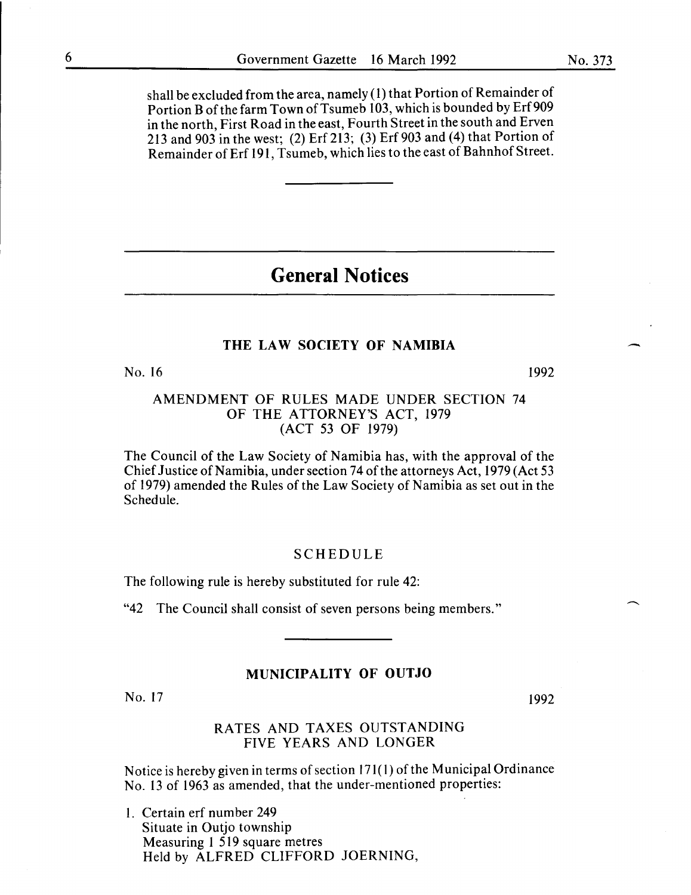shall be excluded from the area, namely ( 1) that Portion of Remainder of Portion B of the farm Town of Tsumeb 103, which is bounded by Erf 909 in the north, First Road in the east, Fourth Street in the south and Erven 213 and 903 in the west; (2) Erf 213; (3) Erf 903 and (4) that Portion of Remainder of Erf 191, Tsumeb, which lies to the east of Bahnhof Street.

# **General Notices**

# THE LAW SOCIETY OF NAMIBIA

No. 16

1992

# AMENDMENT OF RULES MADE UNDER SECTION 74 OF THE ATTORNEY'S ACT, 1979 (ACT 53 OF 1979)

The Council of the Law Society of Namibia has, with the approval of the Chief Justice of Namibia, under section 74 of the attorneys Act, 1979 (Act 53 of 1979) amended the Rules of the Law Society of Namibia as set out in the Schedule.

#### SCHEDULE

The following rule is hereby substituted for rule 42:

"42 The Council shall consist of seven persons being members."

## MUNICIPALITY OF OUTJO

No. I7

1992

### RATES AND TAXES OUTSTANDING FIVE YEARS AND LONGER

Notice is hereby given in terms of section 171(1) of the Municipal Ordinance No. 13 of 1963 as amended, that the under-mentioned properties:

I. Certain erf number 249 Situate in Outjo township Measuring 1 5I9 square metres Held by ALFRED CLIFFORD JOERNING, -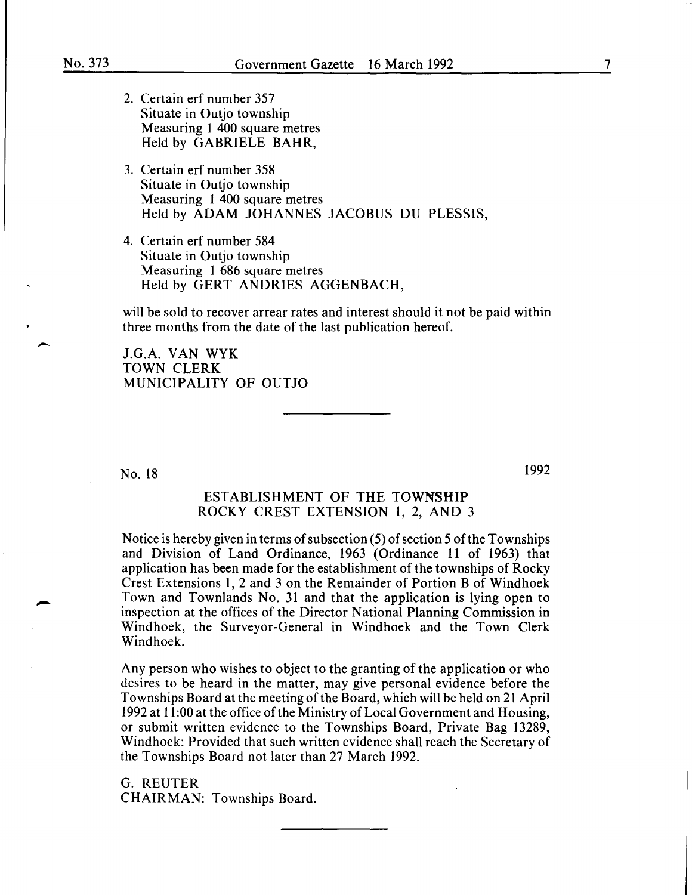2. Certain erf number 357 Situate in Outjo township Measuring 1 400 square metres Held by GABRIELE BARR,

3. Certain erf number 358 Situate in Outjo township Measuring 1 400 square metres Held by ADAM JOHANNES JACOBUS DU PLESSIS,

4. Certain erf number 584 Situate in Outio township Measuring 1 686 square metres Held by GERT ANDRIES AGGENBACH,

will be sold to recover arrear rates and interest should it not be paid within three months from the date of the last publication hereof.

J.G.A. VAN WYK TOWN CLERK MUNICIPALITY OF OUTJO

No. 18

1992

## ESTABLISHMENT OF THE TOWNSHIP ROCKY CREST EXTENSION 1, 2, AND 3

Notice is hereby given in terms of subsection (5) of section 5 of the Townships and Division of Land Ordinance, 1963 (Ordinance 11 of 1963) that application has been made for the establishment of the townships of Rocky Crest Extensions 1, 2 and 3 on the Remainder of Portion B of Windhoek Town and Townlands No. 31 and that the application is lying open to inspection at the offices of the Director National Planning Commission in Windhoek, the Surveyor-General in Windhoek and the Town Clerk Windhoek.

Any person who wishes to object to the granting of the application or who desires to be heard in the matter, may give personal evidence before the Townships Board at the meeting of the Board, which will be held on 21 April 1992 at 11:00 at the office of the Ministry of Local Government and Housing, or submit written evidence to the Townships Board, Private Bag 13289, Windhoek: Provided that such written evidence shall reach the Secretary of the Townships Board not later than 27 March 1992.

G. REUTER CHAIRMAN: Townships Board. 7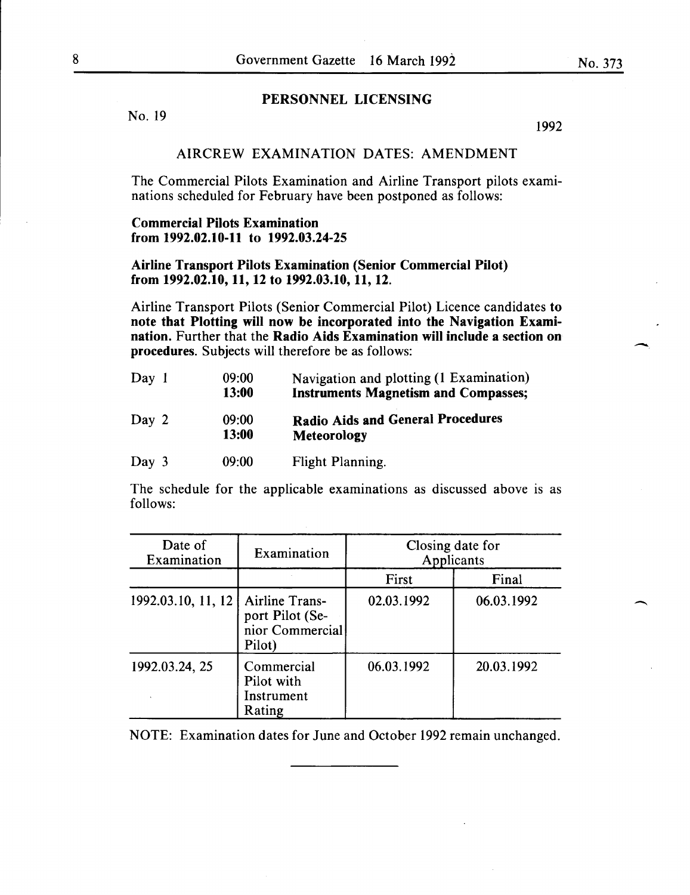#### PERSONNEL LICENSING

No. 19

1992

# AIRCREW EXAMINATION DATES: AMENDMENT

The Commercial Pilots Examination and Airline Transport pilots examinations scheduled for February have been postponed as follows:

#### Commercial Pilots Examination from 1992.02.10-11 to 1992.03.24-25

# Airline Transport Pilots Examination (Senior Commercial Pilot) from 1992.02.10, 11, 12 to 1992.03.10, 11, 12.

Airline Transport Pilots (Senior Commercial Pilot) Licence candidates to note that Plotting will now be incorporated into the Navigation Examination. Further that the Radio Aids Examination will include a section on procedures. Subjects will therefore be as follows:

| Day 1   | 09:00<br>13:00 | Navigation and plotting (1 Examination)<br><b>Instruments Magnetism and Compasses;</b> |
|---------|----------------|----------------------------------------------------------------------------------------|
| Day $2$ | 09:00<br>13:00 | <b>Radio Aids and General Procedures</b><br><b>Meteorology</b>                         |
| Day $3$ | 09:00          | Flight Planning.                                                                       |

The schedule for the applicable examinations as discussed above is as follows:

| Date of<br>Examination              | Examination                                      | Closing date for<br>Applicants |            |
|-------------------------------------|--------------------------------------------------|--------------------------------|------------|
|                                     |                                                  | First                          | Final      |
| 1992.03.10, 11, 12   Airline Trans- | port Pilot (Se-<br>nior Commercial<br>Pilot)     | 02.03.1992                     | 06.03.1992 |
| 1992.03.24, 25                      | Commercial<br>Pilot with<br>Instrument<br>Rating | 06.03.1992                     | 20.03.1992 |

NOTE: Examination dates for June and October 1992 remain unchanged.

-